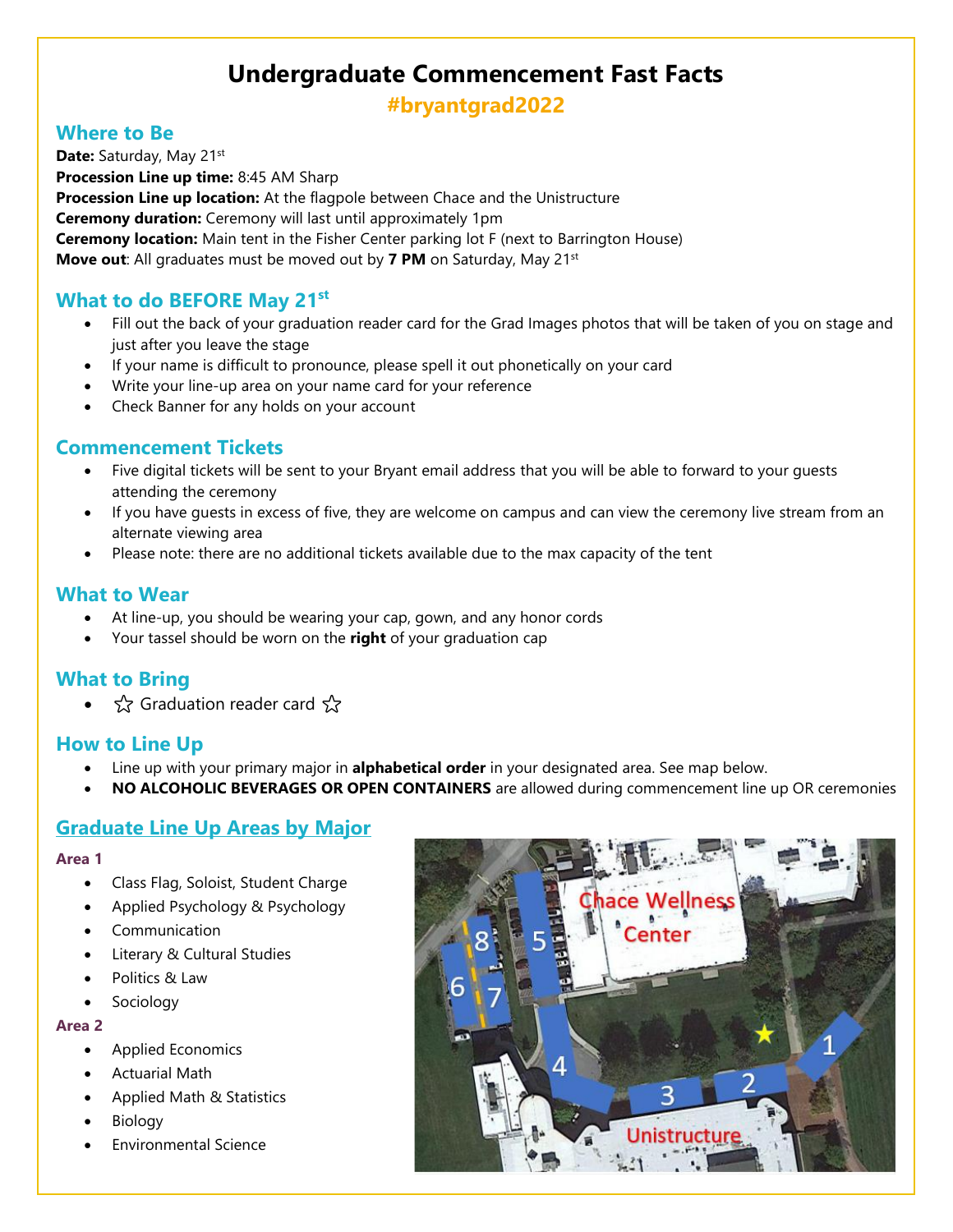# **Undergraduate Commencement Fast Facts**

**#bryantgrad2022**

### **Where to Be**

Date: Saturday, May 21st **Procession Line up time:** 8:45 AM Sharp **Procession Line up location:** At the flagpole between Chace and the Unistructure **Ceremony duration:** Ceremony will last until approximately 1pm **Ceremony location:** Main tent in the Fisher Center parking lot F (next to Barrington House) **Move out**: All graduates must be moved out by **7 PM** on Saturday, May 21st

# **What to do BEFORE May 21st**

- Fill out the back of your graduation reader card for the Grad Images photos that will be taken of you on stage and just after you leave the stage
- If your name is difficult to pronounce, please spell it out phonetically on your card
- Write your line-up area on your name card for your reference
- Check Banner for any holds on your account

# **Commencement Tickets**

- Five digital tickets will be sent to your Bryant email address that you will be able to forward to your guests attending the ceremony
- If you have guests in excess of five, they are welcome on campus and can view the ceremony live stream from an alternate viewing area
- Please note: there are no additional tickets available due to the max capacity of the tent

### **What to Wear**

- At line-up, you should be wearing your cap, gown, and any honor cords
- Your tassel should be worn on the **right** of your graduation cap

# **What to Bring**

≾ Graduation reader card ☆

### **How to Line Up**

- Line up with your primary major in **alphabetical order** in your designated area. See map below.
- **NO ALCOHOLIC BEVERAGES OR OPEN CONTAINERS** are allowed during commencement line up OR ceremonies

# **Graduate Line Up Areas by Major**

#### **Area 1**

- Class Flag, Soloist, Student Charge
- Applied Psychology & Psychology
- **Communication**
- Literary & Cultural Studies
- Politics & Law
- **Sociology**

#### **Area 2**

- Applied Economics
- Actuarial Math
- Applied Math & Statistics
- **Biology**
- Environmental Science